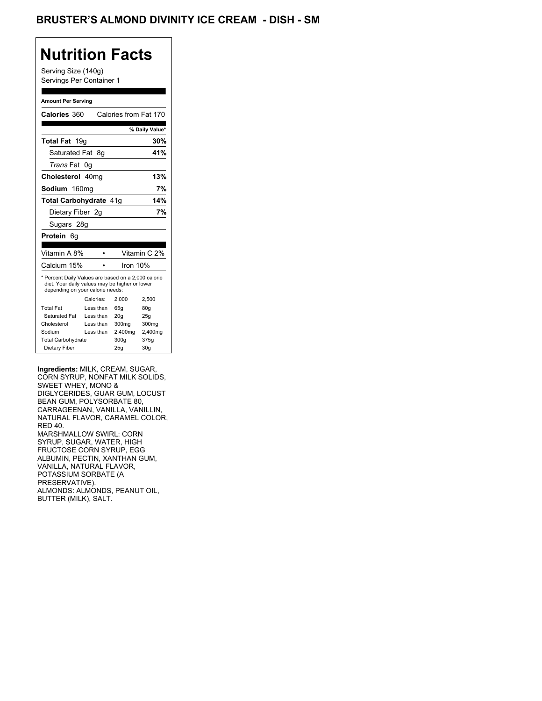## BRUSTER'S ALMOND DIVINITY ICE CREAM - DISH - SM

# **Nutrition Facts**

Serving Size (140g) Servings Per Container 1

### **Amount Per Serving**

| <b>Calories 360</b>                                                                                                                       |           | Calories from Fat 170 |                 |  |
|-------------------------------------------------------------------------------------------------------------------------------------------|-----------|-----------------------|-----------------|--|
|                                                                                                                                           |           |                       | % Daily Value*  |  |
| Total Fat 19q                                                                                                                             |           |                       | 30%             |  |
| Saturated Fat 8q                                                                                                                          |           |                       | 41%             |  |
| <i>Trans</i> Fat                                                                                                                          | 0g        |                       |                 |  |
| Cholesterol 40mg                                                                                                                          |           |                       | 13%             |  |
| Sodium 160mg                                                                                                                              |           |                       | 7%              |  |
| Total Carbohydrate 41g                                                                                                                    |           |                       | 14%             |  |
| Dietary Fiber 2q                                                                                                                          |           |                       | 7%              |  |
| Sugars 28g                                                                                                                                |           |                       |                 |  |
| Protein<br>- 6a                                                                                                                           |           |                       |                 |  |
|                                                                                                                                           |           |                       |                 |  |
| Vitamin A 8%                                                                                                                              |           |                       | Vitamin C 2%    |  |
| Calcium 15%                                                                                                                               |           | Iron $10%$            |                 |  |
| * Percent Daily Values are based on a 2,000 calorie<br>diet. Your daily values may be higher or lower<br>depending on your calorie needs: |           |                       |                 |  |
|                                                                                                                                           | Calories: | 2.000                 | 2,500           |  |
| <b>Total Fat</b>                                                                                                                          | Less than | 65q                   | 80q             |  |
| Saturated Fat                                                                                                                             | Less than | 20q                   | 25q             |  |
| Cholesterol                                                                                                                               | Less than | 300 <sub>mq</sub>     | 300mg           |  |
| Sodium                                                                                                                                    | Less than | 2,400mg               | 2,400mg         |  |
| <b>Total Carbohydrate</b>                                                                                                                 |           | 300q                  | 375g            |  |
| Dietary Fiber                                                                                                                             |           | 25q                   | 30 <sub>g</sub> |  |

**Ingredients:** MILK, CREAM, SUGAR, CORN SYRUP, NONFAT MILK SOLIDS, SWEET WHEY, MONO & DIGLYCERIDES, GUAR GUM, LOCUST BEAN GUM, POLYSORBATE 80, CARRAGEENAN, VANILLA, VANILLIN, NATURAL FLAVOR, CARAMEL COLOR, RED 40. MARSHMALLOW SWIRL: CORN SYRUP, SUGAR, WATER, HIGH FRUCTOSE CORN SYRUP, EGG ALBUMIN, PECTIN, XANTHAN GUM, VANILLA, NATURAL FLAVOR, POTASSIUM SORBATE (A PRESERVATIVE). ALMONDS: ALMONDS, PEANUT OIL, BUTTER (MILK), SALT.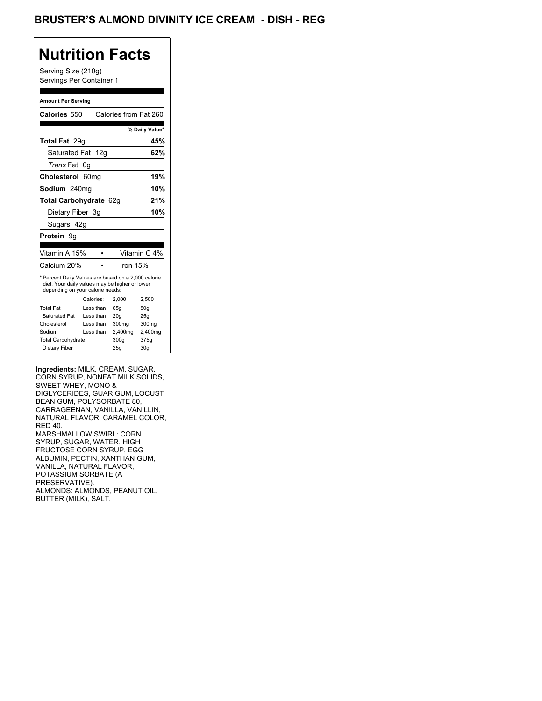## BRUSTER'S ALMOND DIVINITY ICE CREAM - DISH - REG

## **Nutrition Facts**

Serving Size (210g) Servings Per Container 1

### **Amount Per Serving**

| Calories 550                                                                                                                              |                  |  |         | Calories from Fat 260 |
|-------------------------------------------------------------------------------------------------------------------------------------------|------------------|--|---------|-----------------------|
|                                                                                                                                           |                  |  |         | % Daily Value*        |
| Total Fat 29q                                                                                                                             |                  |  |         | 45%                   |
| Saturated Fat 12g                                                                                                                         |                  |  |         | 62%                   |
| <i>Trans</i> Fat                                                                                                                          | 0g               |  |         |                       |
| Cholesterol                                                                                                                               | 60 <sub>mq</sub> |  |         | 19%                   |
| Sodium 240mg                                                                                                                              |                  |  |         | 10%                   |
| Total Carbohydrate 62q                                                                                                                    |                  |  |         | 21%                   |
| Dietary Fiber 3q                                                                                                                          |                  |  |         | 10%                   |
| Sugars 42g                                                                                                                                |                  |  |         |                       |
| <b>Protein</b> 9a                                                                                                                         |                  |  |         |                       |
|                                                                                                                                           |                  |  |         |                       |
| Vitamin A 15%                                                                                                                             |                  |  |         | Vitamin C 4%          |
| Calcium 20%                                                                                                                               |                  |  |         | lron 15%              |
| * Percent Daily Values are based on a 2,000 calorie<br>diet. Your daily values may be higher or lower<br>depending on your calorie needs: |                  |  |         |                       |
|                                                                                                                                           |                  |  |         |                       |
|                                                                                                                                           | Calories:        |  | 2.000   | 2,500                 |
| <b>Total Fat</b>                                                                                                                          | Less than        |  | 65q     | 80q                   |
| Saturated Fat                                                                                                                             | Less than        |  | 20q     | 25q                   |
| Cholesterol                                                                                                                               | Less than        |  | 300mg   | 300mg                 |
| Sodium                                                                                                                                    | Less than        |  | 2,400mg | 2,400mg               |
| <b>Total Carbohydrate</b>                                                                                                                 |                  |  | 300g    | 375g                  |

**Ingredients:** MILK, CREAM, SUGAR, CORN SYRUP, NONFAT MILK SOLIDS, SWEET WHEY, MONO & DIGLYCERIDES, GUAR GUM, LOCUST BEAN GUM, POLYSORBATE 80, CARRAGEENAN, VANILLA, VANILLIN, NATURAL FLAVOR, CARAMEL COLOR, RED 40. MARSHMALLOW SWIRL: CORN SYRUP, SUGAR, WATER, HIGH FRUCTOSE CORN SYRUP, EGG ALBUMIN, PECTIN, XANTHAN GUM, VANILLA, NATURAL FLAVOR, POTASSIUM SORBATE (A PRESERVATIVE). ALMONDS: ALMONDS, PEANUT OIL, BUTTER (MILK), SALT.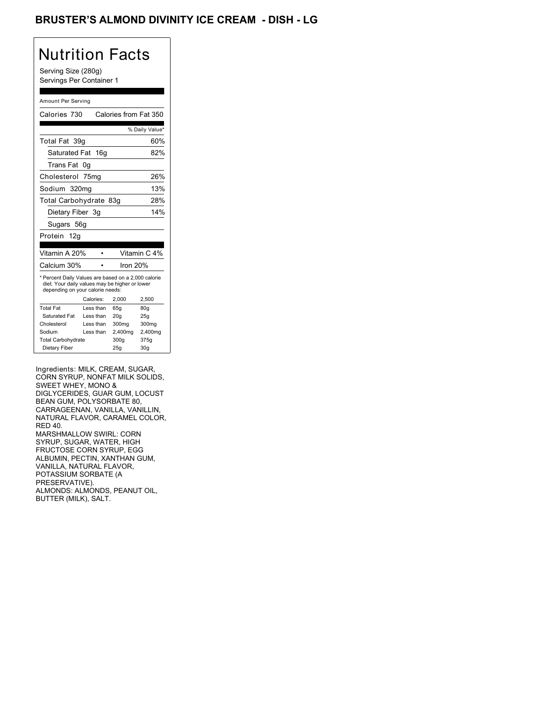## BRUSTER'S ALMOND DIVINITY ICE CREAM - DISH - LG

# Nutrition Facts

Serving Size (280g) Servings Per Container 1

#### Amount Per Serving

| Calories 730                                                                                                                              |                  | Calories from Fat 350 |                |
|-------------------------------------------------------------------------------------------------------------------------------------------|------------------|-----------------------|----------------|
|                                                                                                                                           |                  |                       | % Daily Value* |
| Total Fat 39q                                                                                                                             |                  |                       | 60%            |
| Saturated Fat 16g                                                                                                                         |                  |                       | 82%            |
| Trans Fat                                                                                                                                 | 0g               |                       |                |
| Cholesterol                                                                                                                               | 75 <sub>mq</sub> |                       | 26%            |
| Sodium 320mg                                                                                                                              |                  |                       | 13%            |
| Total Carbohydrate 83g                                                                                                                    |                  |                       | 28%            |
| Dietary Fiber 3g                                                                                                                          |                  |                       | 14%            |
| Sugars 56g                                                                                                                                |                  |                       |                |
| Protein<br>12g                                                                                                                            |                  |                       |                |
|                                                                                                                                           |                  |                       |                |
| Vitamin A 20%                                                                                                                             |                  |                       | Vitamin C 4%   |
| Calcium 30%                                                                                                                               |                  | lron 20%              |                |
| * Percent Daily Values are based on a 2,000 calorie<br>diet. Your daily values may be higher or lower<br>depending on your calorie needs: |                  |                       |                |
|                                                                                                                                           | Calories:        | 2.000                 | 2,500          |
| <b>Total Fat</b>                                                                                                                          | Less than        | 65q                   | 80q            |
| Saturated Fat                                                                                                                             | Less than        | 20q                   | 25q            |
| Cholesterol                                                                                                                               | Less than        | 300mg                 | 300mg          |
| Sodium                                                                                                                                    | Less than        | 2,400mg               | 2,400mg        |
| <b>Total Carbohydrate</b>                                                                                                                 |                  | 300g                  | 375g           |

Ingredients: MILK, CREAM, SUGAR, CORN SYRUP, NONFAT MILK SOLIDS, SWEET WHEY, MONO & DIGLYCERIDES, GUAR GUM, LOCUST BEAN GUM, POLYSORBATE 80, CARRAGEENAN, VANILLA, VANILLIN, NATURAL FLAVOR, CARAMEL COLOR, RED 40. MARSHMALLOW SWIRL: CORN SYRUP, SUGAR, WATER, HIGH FRUCTOSE CORN SYRUP, EGG ALBUMIN, PECTIN, XANTHAN GUM, VANILLA, NATURAL FLAVOR, POTASSIUM SORBATE (A PRESERVATIVE). ALMONDS: ALMONDS, PEANUT OIL, BUTTER (MILK), SALT.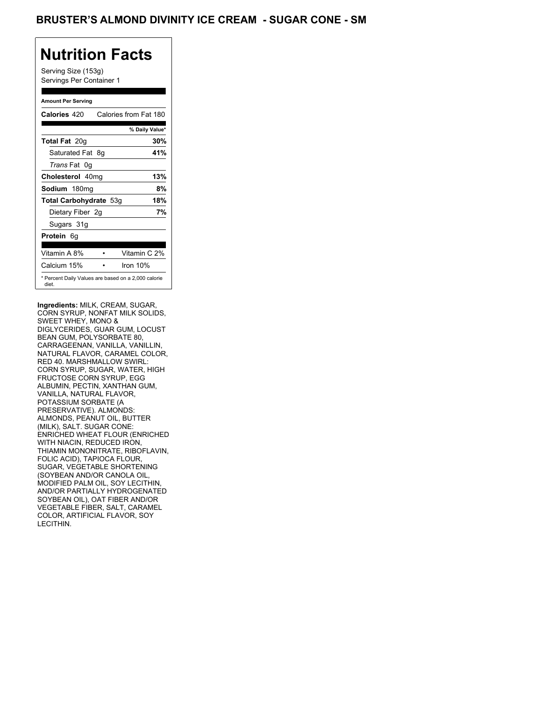## BRUSTER'S ALMOND DIVINITY ICE CREAM - SUGAR CONE - SM

# **Nutrition Facts**

Serving Size (153g) Servings Per Container 1

### **Amount Per Serving**

| Calories 420                                                 |  | Calories from Fat 180 |
|--------------------------------------------------------------|--|-----------------------|
|                                                              |  | % Daily Value*        |
| <b>Total Fat 20g</b>                                         |  | 30%                   |
| Saturated Fat 8g                                             |  | 41%                   |
| Trans Fat 0q                                                 |  |                       |
| Cholesterol 40mg                                             |  | 13%                   |
| Sodium 180mg                                                 |  | 8%                    |
| Total Carbohydrate 53g                                       |  | 18%                   |
| Dietary Fiber 2g                                             |  | 7%                    |
| Sugars 31g                                                   |  |                       |
| <b>Protein</b> 6q                                            |  |                       |
| Vitamin A 8%                                                 |  | Vitamin C 2%          |
| Calcium 15%                                                  |  | Iron $10%$            |
| * Percent Daily Values are based on a 2,000 calorie<br>diet. |  |                       |

**Ingredients:** MILK, CREAM, SUGAR, CORN SYRUP, NONFAT MILK SOLIDS, SWEET WHEY, MONO & DIGLYCERIDES, GUAR GUM, LOCUST BEAN GUM, POLYSORBATE 80, CARRAGEENAN, VANILLA, VANILLIN, NATURAL FLAVOR, CARAMEL COLOR, RED 40. MARSHMALLOW SWIRL: CORN SYRUP, SUGAR, WATER, HIGH FRUCTOSE CORN SYRUP, EGG ALBUMIN, PECTIN, XANTHAN GUM, VANILLA, NATURAL FLAVOR, POTASSIUM SORBATE (A PRESERVATIVE). ALMONDS: ALMONDS, PEANUT OIL, BUTTER (MILK), SALT. SUGAR CONE: ENRICHED WHEAT FLOUR (ENRICHED WITH NIACIN, REDUCED IRON, THIAMIN MONONITRATE, RIBOFLAVIN, FOLIC ACID), TAPIOCA FLOUR, SUGAR, VEGETABLE SHORTENING (SOYBEAN AND/OR CANOLA OIL, MODIFIED PALM OIL, SOY LECITHIN, AND/OR PARTIALLY HYDROGENATED SOYBEAN OIL), OAT FIBER AND/OR VEGETABLE FIBER, SALT, CARAMEL COLOR, ARTIFICIAL FLAVOR, SOY LECITHIN.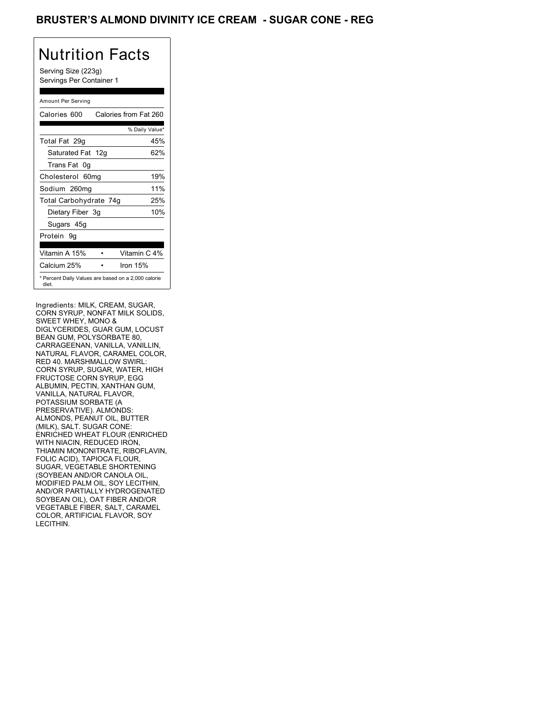## BRUSTER'S ALMOND DIVINITY ICE CREAM - SUGAR CONE - REG

# Nutrition Facts

Serving Size (223g) Servings Per Container 1

### Amount Per Serving

| Calories 600           | Calories from Fat 260                               |
|------------------------|-----------------------------------------------------|
|                        | % Daily Value*                                      |
| Total Fat 29q          | 45%                                                 |
| Saturated Fat 12g      | 62%                                                 |
| Trans Fat 0q           |                                                     |
| Cholesterol 60mg       | 19%                                                 |
| Sodium 260mg           | 11%                                                 |
| Total Carbohydrate 74g | 25%                                                 |
| Dietary Fiber 3g       | 10%                                                 |
| Sugars 45g             |                                                     |
| Protein 9q             |                                                     |
| Vitamin A 15%          | Vitamin C 4%                                        |
| Calcium 25%            | Iron $15%$                                          |
| diet.                  | * Percent Daily Values are based on a 2,000 calorie |

Ingredients: MILK, CREAM, SUGAR, CORN SYRUP, NONFAT MILK SOLIDS, SWEET WHEY, MONO & DIGLYCERIDES, GUAR GUM, LOCUST BEAN GUM, POLYSORBATE 80, CARRAGEENAN, VANILLA, VANILLIN, NATURAL FLAVOR, CARAMEL COLOR, RED 40. MARSHMALLOW SWIRL: CORN SYRUP, SUGAR, WATER, HIGH FRUCTOSE CORN SYRUP, EGG ALBUMIN, PECTIN, XANTHAN GUM, VANILLA, NATURAL FLAVOR, POTASSIUM SORBATE (A PRESERVATIVE). ALMONDS: ALMONDS, PEANUT OIL, BUTTER (MILK), SALT. SUGAR CONE: ENRICHED WHEAT FLOUR (ENRICHED WITH NIACIN, REDUCED IRON, THIAMIN MONONITRATE, RIBOFLAVIN, FOLIC ACID), TAPIOCA FLOUR, SUGAR, VEGETABLE SHORTENING (SOYBEAN AND/OR CANOLA OIL, MODIFIED PALM OIL, SOY LECITHIN, AND/OR PARTIALLY HYDROGENATED SOYBEAN OIL), OAT FIBER AND/OR VEGETABLE FIBER, SALT, CARAMEL COLOR, ARTIFICIAL FLAVOR, SOY LECITHIN.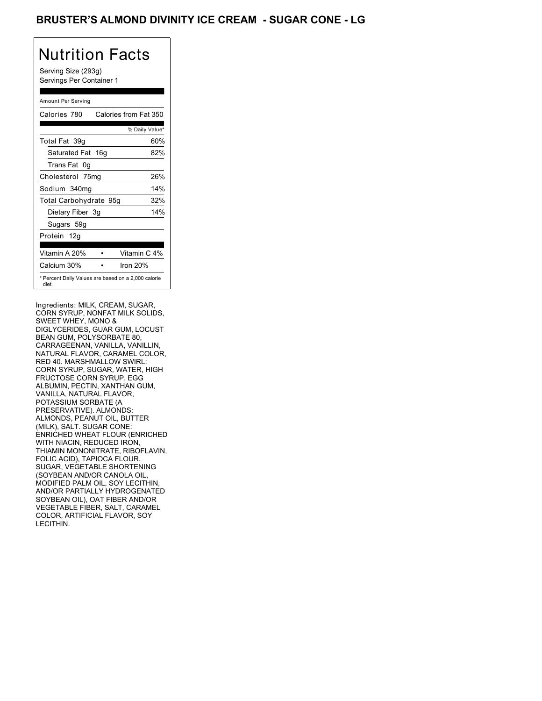## BRUSTER'S ALMOND DIVINITY ICE CREAM - SUGAR CONE - LG

# Nutrition Facts

Serving Size (293g) Servings Per Container 1

### Amount Per Serving

| Calories 780           | Calories from Fat 350                               |
|------------------------|-----------------------------------------------------|
|                        | % Daily Value*                                      |
| Total Fat 39q          | 60%                                                 |
| Saturated Fat 16g      | 82%                                                 |
| Trans Fat 0q           |                                                     |
| Cholesterol 75mg       | 26%                                                 |
| Sodium 340mg           | 14%                                                 |
| Total Carbohydrate 95g | 32%                                                 |
| Dietary Fiber 3g       | 14%                                                 |
| Sugars 59g             |                                                     |
| Protein 12g            |                                                     |
| Vitamin A 20%          | Vitamin C 4%                                        |
| Calcium 30%            | Iron $20%$                                          |
| diet.                  | * Percent Daily Values are based on a 2,000 calorie |

Ingredients: MILK, CREAM, SUGAR, CORN SYRUP, NONFAT MILK SOLIDS, SWEET WHEY, MONO & DIGLYCERIDES, GUAR GUM, LOCUST BEAN GUM, POLYSORBATE 80, CARRAGEENAN, VANILLA, VANILLIN, NATURAL FLAVOR, CARAMEL COLOR, RED 40. MARSHMALLOW SWIRL: CORN SYRUP, SUGAR, WATER, HIGH FRUCTOSE CORN SYRUP, EGG ALBUMIN, PECTIN, XANTHAN GUM, VANILLA, NATURAL FLAVOR, POTASSIUM SORBATE (A PRESERVATIVE). ALMONDS: ALMONDS, PEANUT OIL, BUTTER (MILK), SALT. SUGAR CONE: ENRICHED WHEAT FLOUR (ENRICHED WITH NIACIN, REDUCED IRON, THIAMIN MONONITRATE, RIBOFLAVIN, FOLIC ACID), TAPIOCA FLOUR, SUGAR, VEGETABLE SHORTENING (SOYBEAN AND/OR CANOLA OIL, MODIFIED PALM OIL, SOY LECITHIN, AND/OR PARTIALLY HYDROGENATED SOYBEAN OIL), OAT FIBER AND/OR VEGETABLE FIBER, SALT, CARAMEL COLOR, ARTIFICIAL FLAVOR, SOY LECITHIN.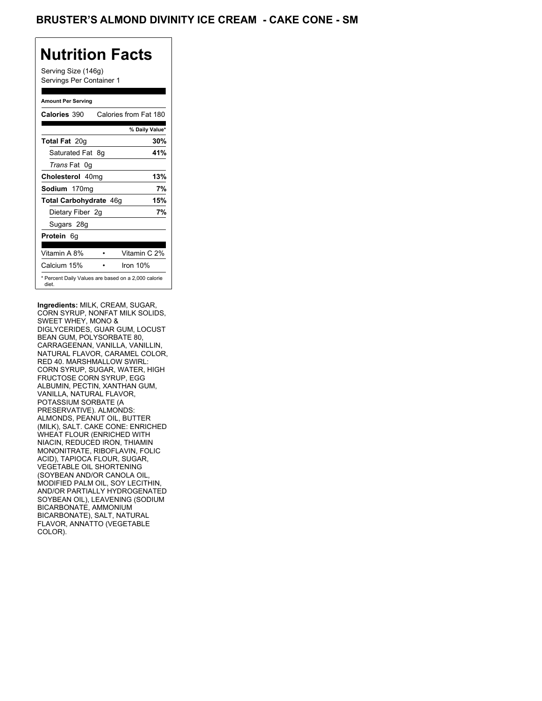## BRUSTER'S ALMOND DIVINITY ICE CREAM - CAKE CONE - SM

# **Nutrition Facts**

Serving Size (146g) Servings Per Container 1

### **Amount Per Serving**

| Calories 390           | Calories from Fat 180                               |
|------------------------|-----------------------------------------------------|
|                        | % Daily Value*                                      |
| <b>Total Fat 20g</b>   | 30%                                                 |
| Saturated Fat 8g       | 41%                                                 |
| Trans Fat 0q           |                                                     |
| Cholesterol 40mg       | 13%                                                 |
| Sodium 170mg           | 7%                                                  |
| Total Carbohydrate 46g | 15%                                                 |
| Dietary Fiber 2g       | 7%                                                  |
| Sugars 28g             |                                                     |
| <b>Protein</b> 6q      |                                                     |
| Vitamin A 8%           | Vitamin C 2%                                        |
| Calcium 15%            | Iron $10%$                                          |
| diet.                  | * Percent Daily Values are based on a 2,000 calorie |

**Ingredients:** MILK, CREAM, SUGAR, CORN SYRUP, NONFAT MILK SOLIDS, SWEET WHEY, MONO & DIGLYCERIDES, GUAR GUM, LOCUST BEAN GUM, POLYSORBATE 80, CARRAGEENAN, VANILLA, VANILLIN, NATURAL FLAVOR, CARAMEL COLOR, RED 40. MARSHMALLOW SWIRL: CORN SYRUP, SUGAR, WATER, HIGH FRUCTOSE CORN SYRUP, EGG ALBUMIN, PECTIN, XANTHAN GUM, VANILLA, NATURAL FLAVOR, POTASSIUM SORBATE (A PRESERVATIVE). ALMONDS: ALMONDS, PEANUT OIL, BUTTER (MILK), SALT. CAKE CONE: ENRICHED WHEAT FLOUR (ENRICHED WITH NIACIN, REDUCED IRON, THIAMIN MONONITRATE, RIBOFLAVIN, FOLIC ACID), TAPIOCA FLOUR, SUGAR, VEGETABLE OIL SHORTENING (SOYBEAN AND/OR CANOLA OIL, MODIFIED PALM OIL, SOY LECITHIN, AND/OR PARTIALLY HYDROGENATED SOYBEAN OIL), LEAVENING (SODIUM BICARBONATE, AMMONIUM BICARBONATE), SALT, NATURAL FLAVOR, ANNATTO (VEGETABLE COLOR).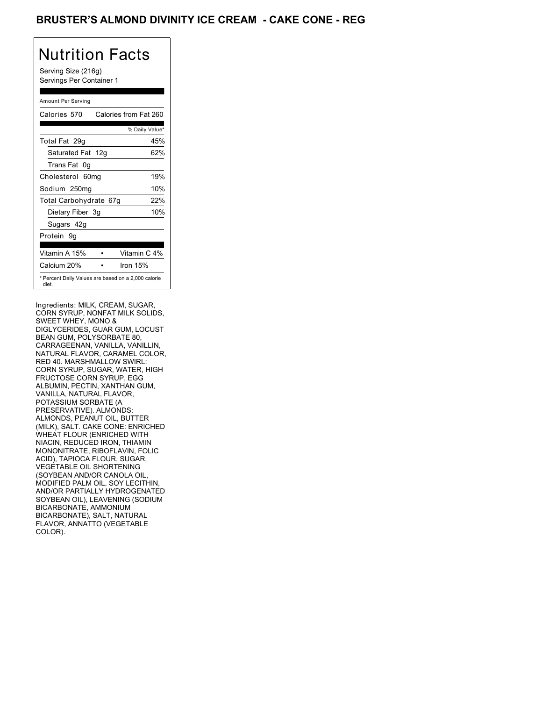## BRUSTER'S ALMOND DIVINITY ICE CREAM **- CAKE CONE - REG**

# Nutrition Facts

Serving Size (216g) Servings Per Container 1

### Amount Per Serving

| Calories 570                                                 | Calories from Fat 260 |
|--------------------------------------------------------------|-----------------------|
|                                                              | % Daily Value*        |
| Total Fat 29g                                                | 45%                   |
| Saturated Fat 12g                                            | 62%                   |
| Trans Fat 0q                                                 |                       |
| Cholesterol 60mg                                             | 19%                   |
| Sodium 250mg                                                 | 10%                   |
| Total Carbohydrate 67g                                       | 22%                   |
| Dietary Fiber 3g                                             | 10%                   |
| Sugars 42g                                                   |                       |
| Protein 9q                                                   |                       |
| Vitamin A 15%                                                | Vitamin C 4%          |
| Calcium 20%                                                  | Iron 15%              |
| * Percent Daily Values are based on a 2,000 calorie<br>diet. |                       |

Ingredients: MILK, CREAM, SUGAR, CORN SYRUP, NONFAT MILK SOLIDS, SWEET WHEY, MONO & DIGLYCERIDES, GUAR GUM, LOCUST BEAN GUM, POLYSORBATE 80, CARRAGEENAN, VANILLA, VANILLIN, NATURAL FLAVOR, CARAMEL COLOR, RED 40. MARSHMALLOW SWIRL: CORN SYRUP, SUGAR, WATER, HIGH FRUCTOSE CORN SYRUP, EGG ALBUMIN, PECTIN, XANTHAN GUM, VANILLA, NATURAL FLAVOR, POTASSIUM SORBATE (A PRESERVATIVE). ALMONDS: ALMONDS, PEANUT OIL, BUTTER (MILK), SALT. CAKE CONE: ENRICHED WHEAT FLOUR (ENRICHED WITH NIACIN, REDUCED IRON, THIAMIN MONONITRATE, RIBOFLAVIN, FOLIC ACID), TAPIOCA FLOUR, SUGAR, VEGETABLE OIL SHORTENING (SOYBEAN AND/OR CANOLA OIL, MODIFIED PALM OIL, SOY LECITHIN, AND/OR PARTIALLY HYDROGENATED SOYBEAN OIL), LEAVENING (SODIUM BICARBONATE, AMMONIUM BICARBONATE), SALT, NATURAL FLAVOR, ANNATTO (VEGETABLE COLOR).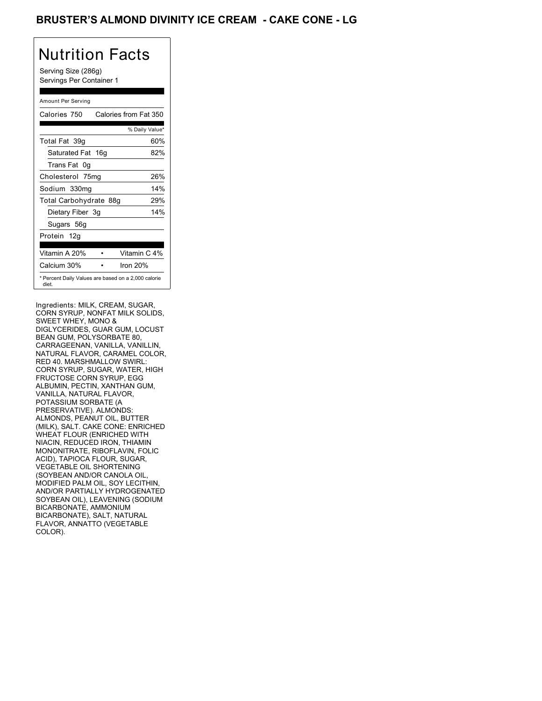## BRUSTER'S ALMOND DIVINITY ICE CREAM **- CAKE CONE - LG**

# Nutrition Facts

Serving Size (286g) Servings Per Container 1

### Amount Per Serving

| Calories 750           | Calories from Fat 350                               |
|------------------------|-----------------------------------------------------|
|                        | % Daily Value*                                      |
| Total Fat 39q          | 60%                                                 |
| Saturated Fat 16g      | 82%                                                 |
| Trans Fat 0q           |                                                     |
| Cholesterol 75mg       | 26%                                                 |
| Sodium 330mg           | 14%                                                 |
| Total Carbohydrate 88g | 29%                                                 |
| Dietary Fiber 3g       | 14%                                                 |
| Sugars 56g             |                                                     |
| Protein 12g            |                                                     |
| Vitamin A 20%          | Vitamin C 4%                                        |
| Calcium 30%            | Iron $20%$                                          |
| diet.                  | * Percent Daily Values are based on a 2,000 calorie |

Ingredients: MILK, CREAM, SUGAR, CORN SYRUP, NONFAT MILK SOLIDS, SWEET WHEY, MONO & DIGLYCERIDES, GUAR GUM, LOCUST BEAN GUM, POLYSORBATE 80, CARRAGEENAN, VANILLA, VANILLIN, NATURAL FLAVOR, CARAMEL COLOR, RED 40. MARSHMALLOW SWIRL: CORN SYRUP, SUGAR, WATER, HIGH FRUCTOSE CORN SYRUP, EGG ALBUMIN, PECTIN, XANTHAN GUM, VANILLA, NATURAL FLAVOR, POTASSIUM SORBATE (A PRESERVATIVE). ALMONDS: ALMONDS, PEANUT OIL, BUTTER (MILK), SALT. CAKE CONE: ENRICHED WHEAT FLOUR (ENRICHED WITH NIACIN, REDUCED IRON, THIAMIN MONONITRATE, RIBOFLAVIN, FOLIC ACID), TAPIOCA FLOUR, SUGAR, VEGETABLE OIL SHORTENING (SOYBEAN AND/OR CANOLA OIL, MODIFIED PALM OIL, SOY LECITHIN, AND/OR PARTIALLY HYDROGENATED SOYBEAN OIL), LEAVENING (SODIUM BICARBONATE, AMMONIUM BICARBONATE), SALT, NATURAL FLAVOR, ANNATTO (VEGETABLE COLOR).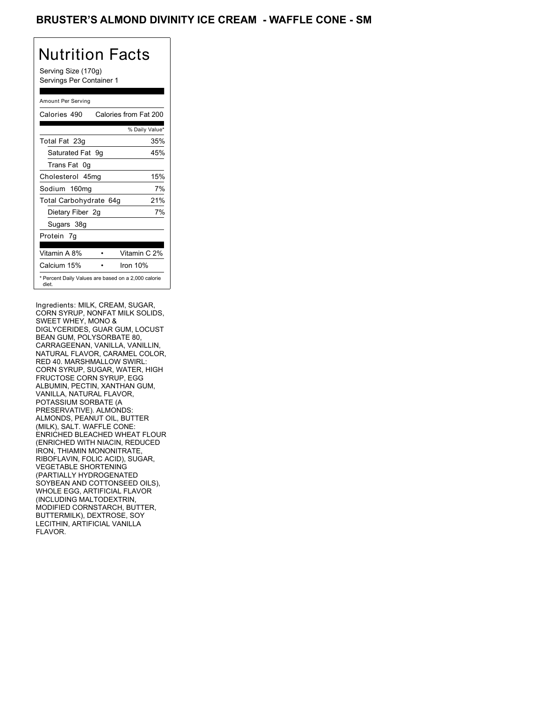## BRUSTER'S ALMOND DIVINITY ICE CREAM - WAFFLE CONE - SM

# Nutrition Facts

Serving Size (170g) Servings Per Container 1

### Amount Per Serving

| Calories 490           | Calories from Fat 200                               |
|------------------------|-----------------------------------------------------|
|                        | % Daily Value*                                      |
| Total Fat 23g          | 35%                                                 |
| Saturated Fat 9g       | 45%                                                 |
| Trans Fat 0q           |                                                     |
| Cholesterol 45mg       | 15%                                                 |
| Sodium 160mg           | 7%                                                  |
| Total Carbohydrate 64g | 21%                                                 |
| Dietary Fiber 2g       | 7%                                                  |
| Sugars 38g             |                                                     |
| Protein 7q             |                                                     |
| Vitamin A 8%           | Vitamin C 2%                                        |
| Calcium 15%            | Iron 10%                                            |
| diet.                  | * Percent Daily Values are based on a 2,000 calorie |

Ingredients: MILK, CREAM, SUGAR, CORN SYRUP, NONFAT MILK SOLIDS, SWEET WHEY, MONO & DIGLYCERIDES, GUAR GUM, LOCUST BEAN GUM, POLYSORBATE 80, CARRAGEENAN, VANILLA, VANILLIN, NATURAL FLAVOR, CARAMEL COLOR, RED 40. MARSHMALLOW SWIRL: CORN SYRUP, SUGAR, WATER, HIGH FRUCTOSE CORN SYRUP, EGG ALBUMIN, PECTIN, XANTHAN GUM, VANILLA, NATURAL FLAVOR, POTASSIUM SORBATE (A PRESERVATIVE). ALMONDS: ALMONDS, PEANUT OIL, BUTTER (MILK), SALT. WAFFLE CONE: ENRICHED BLEACHED WHEAT FLOUR (ENRICHED WITH NIACIN, REDUCED IRON, THIAMIN MONONITRATE, RIBOFLAVIN, FOLIC ACID), SUGAR, VEGETABLE SHORTENING (PARTIALLY HYDROGENATED SOYBEAN AND COTTONSEED OILS), WHOLE EGG, ARTIFICIAL FLAVOR (INCLUDING MALTODEXTRIN, MODIFIED CORNSTARCH, BUTTER, BUTTERMILK), DEXTROSE, SOY LECITHIN, ARTIFICIAL VANILLA FLAVOR.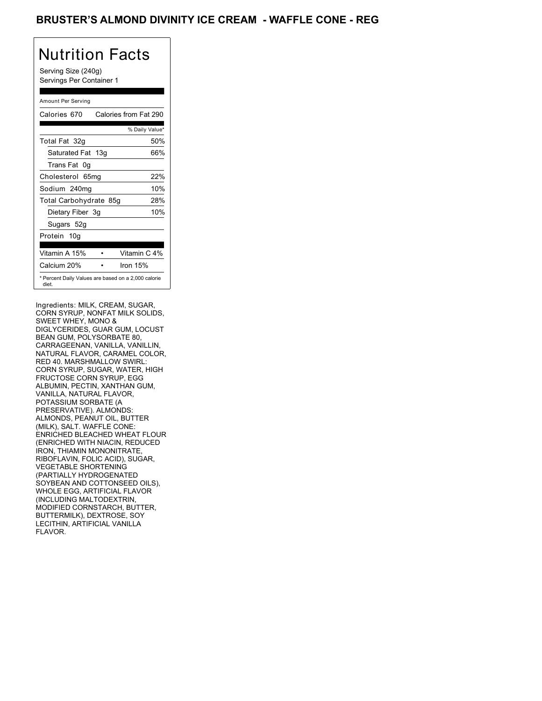## BRUSTER'S ALMOND DIVINITY ICE CREAM - WAFFLE CONE - REG

# Nutrition Facts

Serving Size (240g) Servings Per Container 1

### Amount Per Serving

| Calories 670                                                 | Calories from Fat 290 |
|--------------------------------------------------------------|-----------------------|
|                                                              | % Daily Value*        |
| Total Fat 32g                                                | 50%                   |
| Saturated Fat 13g                                            | 66%                   |
| Trans Fat 0q                                                 |                       |
| Cholesterol 65mg                                             | 22%                   |
| Sodium 240mg                                                 | 10%                   |
| Total Carbohydrate 85g                                       | 28%                   |
| Dietary Fiber 3g                                             | 10%                   |
| Sugars 52g                                                   |                       |
| Protein 10q                                                  |                       |
| Vitamin A 15%                                                | Vitamin C 4%          |
| Calcium 20%                                                  | Iron 15%              |
| * Percent Daily Values are based on a 2,000 calorie<br>diet. |                       |

Ingredients: MILK, CREAM, SUGAR, CORN SYRUP, NONFAT MILK SOLIDS, SWEET WHEY, MONO & DIGLYCERIDES, GUAR GUM, LOCUST BEAN GUM, POLYSORBATE 80, CARRAGEENAN, VANILLA, VANILLIN, NATURAL FLAVOR, CARAMEL COLOR, RED 40. MARSHMALLOW SWIRL: CORN SYRUP, SUGAR, WATER, HIGH FRUCTOSE CORN SYRUP, EGG ALBUMIN, PECTIN, XANTHAN GUM, VANILLA, NATURAL FLAVOR, POTASSIUM SORBATE (A PRESERVATIVE). ALMONDS: ALMONDS, PEANUT OIL, BUTTER (MILK), SALT. WAFFLE CONE: ENRICHED BLEACHED WHEAT FLOUR (ENRICHED WITH NIACIN, REDUCED IRON, THIAMIN MONONITRATE, RIBOFLAVIN, FOLIC ACID), SUGAR, VEGETABLE SHORTENING (PARTIALLY HYDROGENATED SOYBEAN AND COTTONSEED OILS), WHOLE EGG, ARTIFICIAL FLAVOR (INCLUDING MALTODEXTRIN, MODIFIED CORNSTARCH, BUTTER, BUTTERMILK), DEXTROSE, SOY LECITHIN, ARTIFICIAL VANILLA FLAVOR.